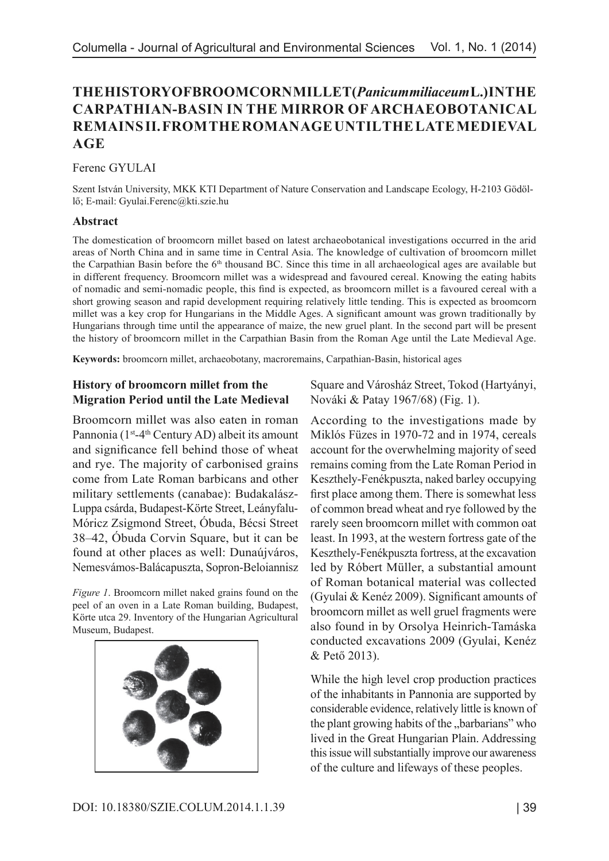# **THE HISTORY OF BROOMCORN MILLET (***Panicum miliaceum* **L.) IN THE CARPATHIAN-BASIN IN THE MIRROR OF ARCHAEOBOTANICAL REMAINS II. FROM THE ROMAN AGE UNTIL THE LATE MEDIEVAL AGE**

Ferenc GYULAI

Szent István University, MKK KTI Department of Nature Conservation and Landscape Ecology, H-2103 Gödöllő; E-mail: Gyulai.Ferenc@kti.szie.hu

### **Abstract**

The domestication of broomcorn millet based on latest archaeobotanical investigations occurred in the arid areas of North China and in same time in Central Asia. The knowledge of cultivation of broomcorn millet the Carpathian Basin before the  $6<sup>th</sup>$  thousand BC. Since this time in all archaeological ages are available but in different frequency. Broomcorn millet was a widespread and favoured cereal. Knowing the eating habits of nomadic and semi-nomadic people, this find is expected, as broomcorn millet is a favoured cereal with a short growing season and rapid development requiring relatively little tending. This is expected as broomcorn millet was a key crop for Hungarians in the Middle Ages. A significant amount was grown traditionally by Hungarians through time until the appearance of maize, the new gruel plant. In the second part will be present the history of broomcorn millet in the Carpathian Basin from the Roman Age until the Late Medieval Age.

**Keywords:** broomcorn millet, archaeobotany, macroremains, Carpathian-Basin, historical ages

## **History of broomcorn millet from the Migration Period until the Late Medieval**

Broomcorn millet was also eaten in roman Pannonia (1<sup>st</sup>-4<sup>th</sup> Century AD) albeit its amount and significance fell behind those of wheat and rye. The majority of carbonised grains come from Late Roman barbicans and other military settlements (canabae): Budakalász-Luppa csárda, Budapest-Körte Street, Leányfalu-Móricz Zsigmond Street, Óbuda, Bécsi Street 38–42, Óbuda Corvin Square, but it can be found at other places as well: Dunaújváros, Nemesvámos-Balácapuszta, Sopron-Beloiannisz

*Figure 1*. Broomcorn millet naked grains found on the peel of an oven in a Late Roman building, Budapest, Körte utca 29. Inventory of the Hungarian Agricultural Museum, Budapest.



Square and Városház Street, Tokod (Hartyányi, Nováki & Patay 1967/68) (Fig. 1).

According to the investigations made by Miklós Füzes in 1970-72 and in 1974, cereals account for the overwhelming majority of seed remains coming from the Late Roman Period in Keszthely-Fenékpuszta, naked barley occupying first place among them. There is somewhat less of common bread wheat and rye followed by the rarely seen broomcorn millet with common oat least. In 1993, at the western fortress gate of the Keszthely-Fenékpuszta fortress, at the excavation led by Róbert Müller, a substantial amount of Roman botanical material was collected (Gyulai & Kenéz 2009). Significant amounts of broomcorn millet as well gruel fragments were also found in by Orsolya Heinrich-Tamáska conducted excavations 2009 (Gyulai, Kenéz & Pető 2013).

While the high level crop production practices of the inhabitants in Pannonia are supported by considerable evidence, relatively little is known of the plant growing habits of the "barbarians" who lived in the Great Hungarian Plain. Addressing this issue will substantially improve our awareness of the culture and lifeways of these peoples.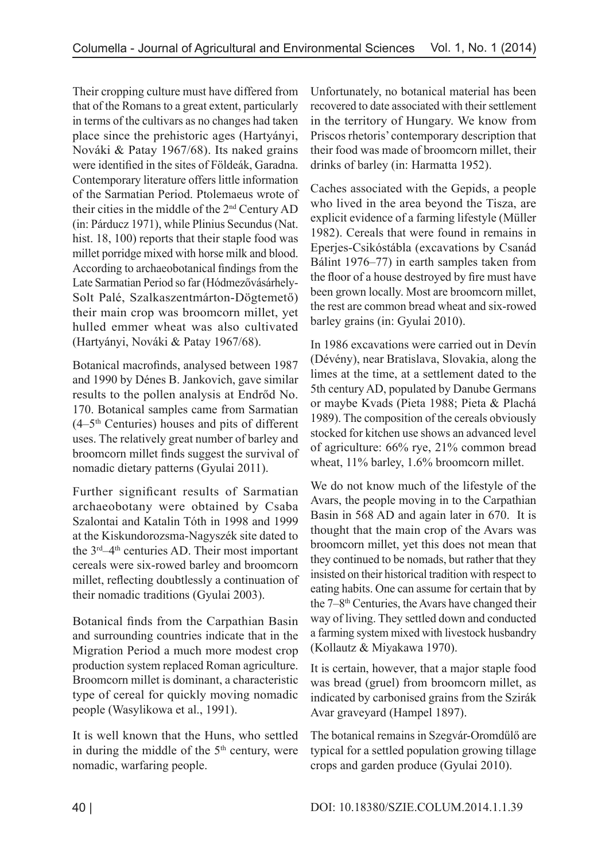Their cropping culture must have differed from that of the Romans to a great extent, particularly in terms of the cultivars as no changes had taken place since the prehistoric ages (Hartyányi, Nováki & Patay 1967/68). Its naked grains were identified in the sites of Földeák, Garadna. Contemporary literature offers little information of the Sarmatian Period. Ptolemaeus wrote of their cities in the middle of the 2nd Century AD (in: Párducz 1971), while Plinius Secundus (Nat. hist. 18, 100) reports that their staple food was millet porridge mixed with horse milk and blood. According to archaeobotanical findings from the Late Sarmatian Period so far (Hódmezővásárhely-Solt Palé, Szalkaszentmárton-Dögtemető) their main crop was broomcorn millet, yet hulled emmer wheat was also cultivated (Hartyányi, Nováki & Patay 1967/68).

Botanical macrofinds, analysed between 1987 and 1990 by Dénes B. Jankovich, gave similar results to the pollen analysis at Endrőd No. 170. Botanical samples came from Sarmatian  $(4-5<sup>th</sup> Centuries)$  houses and pits of different uses. The relatively great number of barley and broomcorn millet finds suggest the survival of nomadic dietary patterns (Gyulai 2011).

Further significant results of Sarmatian archaeobotany were obtained by Csaba Szalontai and Katalin Tóth in 1998 and 1999 at the Kiskundorozsma-Nagyszék site dated to the 3<sup>rd</sup>–4<sup>th</sup> centuries AD. Their most important cereals were six-rowed barley and broomcorn millet, reflecting doubtlessly a continuation of their nomadic traditions (Gyulai 2003).

Botanical finds from the Carpathian Basin and surrounding countries indicate that in the Migration Period a much more modest crop production system replaced Roman agriculture. Broomcorn millet is dominant, a characteristic type of cereal for quickly moving nomadic people (Wasylikowa et al., 1991).

It is well known that the Huns, who settled in during the middle of the  $5<sup>th</sup>$  century, were nomadic, warfaring people.

Unfortunately, no botanical material has been recovered to date associated with their settlement in the territory of Hungary. We know from Priscos rhetoris' contemporary description that their food was made of broomcorn millet, their drinks of barley (in: Harmatta 1952).

Caches associated with the Gepids, a people who lived in the area beyond the Tisza, are explicit evidence of a farming lifestyle (Müller 1982). Cereals that were found in remains in Eperjes-Csikóstábla (excavations by Csanád Bálint 1976–77) in earth samples taken from the floor of a house destroyed by fire must have been grown locally. Most are broomcorn millet, the rest are common bread wheat and six-rowed barley grains (in: Gyulai 2010).

In 1986 excavations were carried out in Devín (Dévény), near Bratislava, Slovakia, along the limes at the time, at a settlement dated to the 5th century AD, populated by Danube Germans or maybe Kvads (Pieta 1988; Pieta & Plachá 1989). The composition of the cereals obviously stocked for kitchen use shows an advanced level of agriculture: 66% rye, 21% common bread wheat, 11% barley, 1.6% broomcorn millet.

We do not know much of the lifestyle of the Avars, the people moving in to the Carpathian Basin in 568 AD and again later in 670. It is thought that the main crop of the Avars was broomcorn millet, yet this does not mean that they continued to be nomads, but rather that they insisted on their historical tradition with respect to eating habits. One can assume for certain that by the  $7-8$ <sup>th</sup> Centuries, the Avars have changed their way of living. They settled down and conducted a farming system mixed with livestock husbandry (Kollautz & Miyakawa 1970).

It is certain, however, that a major staple food was bread (gruel) from broomcorn millet, as indicated by carbonised grains from the Szirák Avar graveyard (Hampel 1897).

The botanical remains in Szegvár-Oromdűlő are typical for a settled population growing tillage crops and garden produce (Gyulai 2010).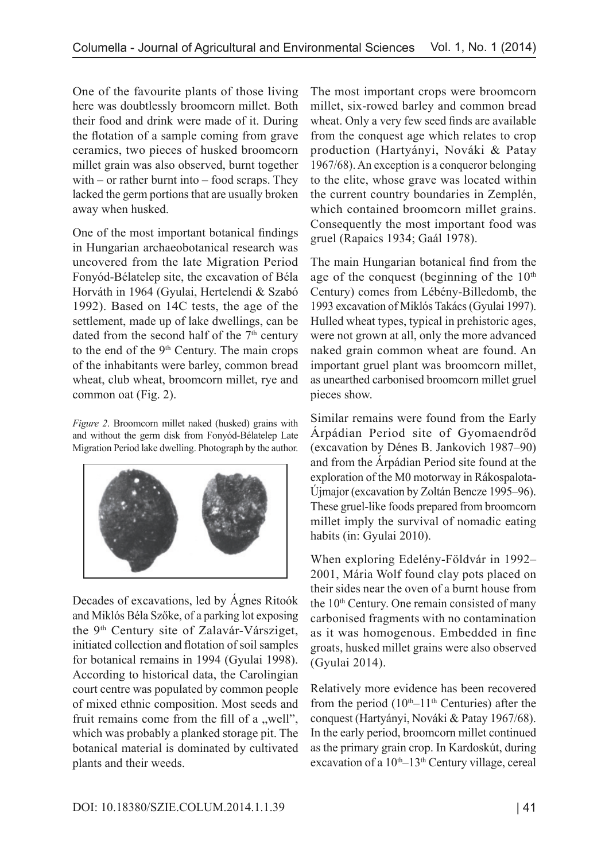One of the favourite plants of those living here was doubtlessly broomcorn millet. Both their food and drink were made of it. During the flotation of a sample coming from grave ceramics, two pieces of husked broomcorn millet grain was also observed, burnt together with – or rather burnt into – food scraps. They lacked the germ portions that are usually broken away when husked.

One of the most important botanical findings in Hungarian archaeobotanical research was uncovered from the late Migration Period Fonyód-Bélatelep site, the excavation of Béla Horváth in 1964 (Gyulai, Hertelendi & Szabó 1992). Based on 14C tests, the age of the settlement, made up of lake dwellings, can be dated from the second half of the 7<sup>th</sup> century to the end of the 9<sup>th</sup> Century. The main crops of the inhabitants were barley, common bread wheat, club wheat, broomcorn millet, rye and common oat (Fig. 2).

*Figure 2*. Broomcorn millet naked (husked) grains with and without the germ disk from Fonyód-Bélatelep Late Migration Period lake dwelling. Photograph by the author.



Decades of excavations, led by Ágnes Ritoók and Miklós Béla Szőke, of a parking lot exposing the 9th Century site of Zalavár-Vársziget, initiated collection and flotation of soil samples for botanical remains in 1994 (Gyulai 1998). According to historical data, the Carolingian court centre was populated by common people of mixed ethnic composition. Most seeds and fruit remains come from the fill of a  $m$ , well", which was probably a planked storage pit. The botanical material is dominated by cultivated plants and their weeds.

The most important crops were broomcorn millet, six-rowed barley and common bread wheat. Only a very few seed finds are available from the conquest age which relates to crop production (Hartyányi, Nováki & Patay 1967/68). An exception is a conqueror belonging to the elite, whose grave was located within the current country boundaries in Zemplén, which contained broomcorn millet grains. Consequently the most important food was gruel (Rapaics 1934; Gaál 1978).

The main Hungarian botanical find from the age of the conquest (beginning of the  $10<sup>th</sup>$ Century) comes from Lébény-Billedomb, the 1993 excavation of Miklós Takács (Gyulai 1997). Hulled wheat types, typical in prehistoric ages, were not grown at all, only the more advanced naked grain common wheat are found. An important gruel plant was broomcorn millet, as unearthed carbonised broomcorn millet gruel pieces show.

Similar remains were found from the Early Árpádian Period site of Gyomaendrőd (excavation by Dénes B. Jankovich 1987–90) and from the Árpádian Period site found at the exploration of the M0 motorway in Rákospalota-Újmajor (excavation by Zoltán Bencze 1995–96). These gruel-like foods prepared from broomcorn millet imply the survival of nomadic eating habits (in: Gyulai 2010).

When exploring Edelény-Földvár in 1992– 2001, Mária Wolf found clay pots placed on their sides near the oven of a burnt house from the  $10<sup>th</sup>$  Century. One remain consisted of many carbonised fragments with no contamination as it was homogenous. Embedded in fine groats, husked millet grains were also observed (Gyulai 2014).

Relatively more evidence has been recovered from the period  $(10<sup>th</sup>-11<sup>th</sup>$  Centuries) after the conquest (Hartyányi, Nováki & Patay 1967/68). In the early period, broomcorn millet continued as the primary grain crop. In Kardoskút, during excavation of a 10<sup>th</sup>–13<sup>th</sup> Century village, cereal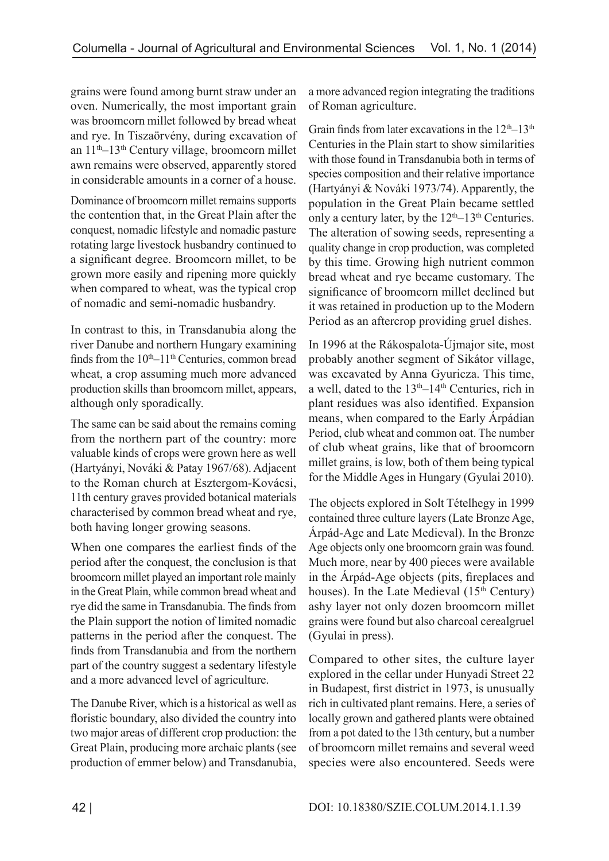grains were found among burnt straw under an oven. Numerically, the most important grain was broomcorn millet followed by bread wheat and rye. In Tiszaörvény, during excavation of an 11th–13th Century village, broomcorn millet awn remains were observed, apparently stored in considerable amounts in a corner of a house.

Dominance of broomcorn millet remains supports the contention that, in the Great Plain after the conquest, nomadic lifestyle and nomadic pasture rotating large livestock husbandry continued to a significant degree. Broomcorn millet, to be grown more easily and ripening more quickly when compared to wheat, was the typical crop of nomadic and semi-nomadic husbandry.

In contrast to this, in Transdanubia along the river Danube and northern Hungary examining finds from the  $10<sup>th</sup>-11<sup>th</sup>$  Centuries, common bread wheat, a crop assuming much more advanced production skills than broomcorn millet, appears, although only sporadically.

The same can be said about the remains coming from the northern part of the country: more valuable kinds of crops were grown here as well (Hartyányi, Nováki & Patay 1967/68). Adjacent to the Roman church at Esztergom-Kovácsi, 11th century graves provided botanical materials characterised by common bread wheat and rye, both having longer growing seasons.

When one compares the earliest finds of the period after the conquest, the conclusion is that broomcorn millet played an important role mainly in the Great Plain, while common bread wheat and rye did the same in Transdanubia. The finds from the Plain support the notion of limited nomadic patterns in the period after the conquest. The finds from Transdanubia and from the northern part of the country suggest a sedentary lifestyle and a more advanced level of agriculture.

The Danube River, which is a historical as well as floristic boundary, also divided the country into two major areas of different crop production: the Great Plain, producing more archaic plants (see production of emmer below) and Transdanubia,

a more advanced region integrating the traditions of Roman agriculture.

Grain finds from later excavations in the  $12<sup>th</sup>-13<sup>th</sup>$ Centuries in the Plain start to show similarities with those found in Transdanubia both in terms of species composition and their relative importance (Hartyányi & Nováki 1973/74). Apparently, the population in the Great Plain became settled only a century later, by the  $12<sup>th</sup>-13<sup>th</sup>$  Centuries. The alteration of sowing seeds, representing a quality change in crop production, was completed by this time. Growing high nutrient common bread wheat and rye became customary. The significance of broomcorn millet declined but it was retained in production up to the Modern Period as an aftercrop providing gruel dishes.

In 1996 at the Rákospalota-Újmajor site, most probably another segment of Sikátor village, was excavated by Anna Gyuricza. This time, a well, dated to the  $13<sup>th</sup>-14<sup>th</sup>$  Centuries, rich in plant residues was also identified. Expansion means, when compared to the Early Árpádian Period, club wheat and common oat. The number of club wheat grains, like that of broomcorn millet grains, is low, both of them being typical for the Middle Ages in Hungary (Gyulai 2010).

The objects explored in Solt Tételhegy in 1999 contained three culture layers (Late Bronze Age, Árpád-Age and Late Medieval). In the Bronze Age objects only one broomcorn grain was found. Much more, near by 400 pieces were available in the Árpád-Age objects (pits, fireplaces and houses). In the Late Medieval  $(15<sup>th</sup> Century)$ ashy layer not only dozen broomcorn millet grains were found but also charcoal cerealgruel (Gyulai in press).

Compared to other sites, the culture layer explored in the cellar under Hunyadi Street 22 in Budapest, first district in 1973, is unusually rich in cultivated plant remains. Here, a series of locally grown and gathered plants were obtained from a pot dated to the 13th century, but a number of broomcorn millet remains and several weed species were also encountered. Seeds were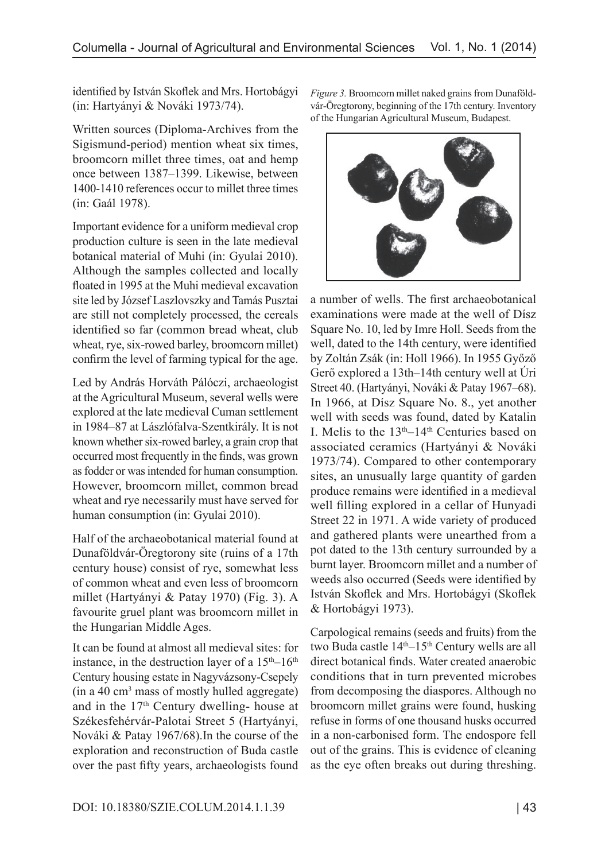identified by István Skoflek and Mrs. Hortobágyi (in: Hartyányi & Nováki 1973/74).

Written sources (Diploma-Archives from the Sigismund-period) mention wheat six times, broomcorn millet three times, oat and hemp once between 1387–1399. Likewise, between 1400-1410 references occur to millet three times (in: Gaál 1978).

Important evidence for a uniform medieval crop production culture is seen in the late medieval botanical material of Muhi (in: Gyulai 2010). Although the samples collected and locally floated in 1995 at the Muhi medieval excavation site led by József Laszlovszky and Tamás Pusztai are still not completely processed, the cereals identified so far (common bread wheat, club wheat, rye, six-rowed barley, broomcorn millet) confirm the level of farming typical for the age.

Led by András Horváth Pálóczi, archaeologist at the Agricultural Museum, several wells were explored at the late medieval Cuman settlement in 1984–87 at Lászlófalva-Szentkirály. It is not known whether six-rowed barley, a grain crop that occurred most frequently in the finds, was grown as fodder or was intended for human consumption. However, broomcorn millet, common bread wheat and rye necessarily must have served for human consumption (in: Gyulai 2010).

Half of the archaeobotanical material found at Dunaföldvár-Öregtorony site (ruins of a 17th century house) consist of rye, somewhat less of common wheat and even less of broomcorn millet (Hartyányi & Patay 1970) (Fig. 3). A favourite gruel plant was broomcorn millet in the Hungarian Middle Ages.

It can be found at almost all medieval sites: for instance, in the destruction layer of a  $15<sup>th</sup>-16<sup>th</sup>$ Century housing estate in Nagyvázsony-Csepely (in a 40 cm3 mass of mostly hulled aggregate) and in the 17th Century dwelling- house at Székesfehérvár-Palotai Street 5 (Hartyányi, Nováki & Patay 1967/68).In the course of the exploration and reconstruction of Buda castle over the past fifty years, archaeologists found

*Figure 3.* Broomcorn millet naked grains from Dunaföldvár-Öregtorony, beginning of the 17th century. Inventory of the Hungarian Agricultural Museum, Budapest.



a number of wells. The first archaeobotanical examinations were made at the well of Dísz Square No. 10, led by Imre Holl. Seeds from the well, dated to the 14th century, were identified by Zoltán Zsák (in: Holl 1966). In 1955 Győző Gerő explored a 13th–14th century well at Úri Street 40. (Hartyányi, Nováki & Patay 1967–68). In 1966, at Dísz Square No. 8., yet another well with seeds was found, dated by Katalin I. Melis to the 13th–14th Centuries based on associated ceramics (Hartyányi & Nováki 1973/74). Compared to other contemporary sites, an unusually large quantity of garden produce remains were identified in a medieval well filling explored in a cellar of Hunyadi Street 22 in 1971. A wide variety of produced and gathered plants were unearthed from a pot dated to the 13th century surrounded by a burnt layer. Broomcorn millet and a number of weeds also occurred (Seeds were identified by István Skoflek and Mrs. Hortobágyi (Skoflek & Hortobágyi 1973).

Carpological remains (seeds and fruits) from the two Buda castle  $14<sup>th</sup>-15<sup>th</sup>$  Century wells are all direct botanical finds. Water created anaerobic conditions that in turn prevented microbes from decomposing the diaspores. Although no broomcorn millet grains were found, husking refuse in forms of one thousand husks occurred in a non-carbonised form. The endospore fell out of the grains. This is evidence of cleaning as the eye often breaks out during threshing.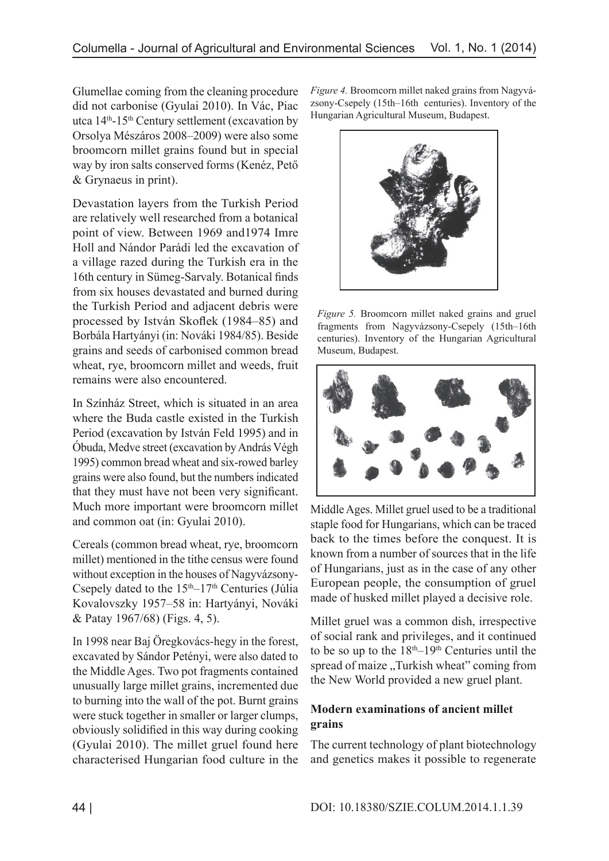Glumellae coming from the cleaning procedure did not carbonise (Gyulai 2010). In Vác, Piac utca 14th-15th Century settlement (excavation by Orsolya Mészáros 2008–2009) were also some broomcorn millet grains found but in special way by iron salts conserved forms (Kenéz, Pető & Grynaeus in print).

Devastation layers from the Turkish Period are relatively well researched from a botanical point of view. Between 1969 and1974 Imre Holl and Nándor Parádi led the excavation of a village razed during the Turkish era in the 16th century in Sümeg-Sarvaly. Botanical finds from six houses devastated and burned during the Turkish Period and adjacent debris were processed by István Skoflek (1984–85) and Borbála Hartyányi (in: Nováki 1984/85). Beside grains and seeds of carbonised common bread wheat, rye, broomcorn millet and weeds, fruit remains were also encountered.

In Színház Street, which is situated in an area where the Buda castle existed in the Turkish Period (excavation by István Feld 1995) and in Óbuda, Medve street (excavation by András Végh 1995) common bread wheat and six-rowed barley grains were also found, but the numbers indicated that they must have not been very significant. Much more important were broomcorn millet and common oat (in: Gyulai 2010).

Cereals (common bread wheat, rye, broomcorn millet) mentioned in the tithe census were found without exception in the houses of Nagyvázsony-Csepely dated to the  $15<sup>th</sup>-17<sup>th</sup>$  Centuries (Júlia Kovalovszky 1957–58 in: Hartyányi, Nováki & Patay 1967/68) (Figs. 4, 5).

In 1998 near Baj Öregkovács-hegy in the forest, excavated by Sándor Petényi, were also dated to the Middle Ages. Two pot fragments contained unusually large millet grains, incremented due to burning into the wall of the pot. Burnt grains were stuck together in smaller or larger clumps, obviously solidified in this way during cooking (Gyulai 2010). The millet gruel found here characterised Hungarian food culture in the *Figure 4.* Broomcorn millet naked grains from Nagyvázsony-Csepely (15th–16th centuries). Inventory of the Hungarian Agricultural Museum, Budapest.



*Figure 5.* Broomcorn millet naked grains and gruel fragments from Nagyvázsony-Csepely (15th–16th centuries). Inventory of the Hungarian Agricultural Museum, Budapest.



Middle Ages. Millet gruel used to be a traditional staple food for Hungarians, which can be traced back to the times before the conquest. It is known from a number of sources that in the life of Hungarians, just as in the case of any other European people, the consumption of gruel made of husked millet played a decisive role.

Millet gruel was a common dish, irrespective of social rank and privileges, and it continued to be so up to the  $18<sup>th</sup>-19<sup>th</sup>$  Centuries until the spread of maize "Turkish wheat" coming from the New World provided a new gruel plant.

# **Modern examinations of ancient millet grains**

The current technology of plant biotechnology and genetics makes it possible to regenerate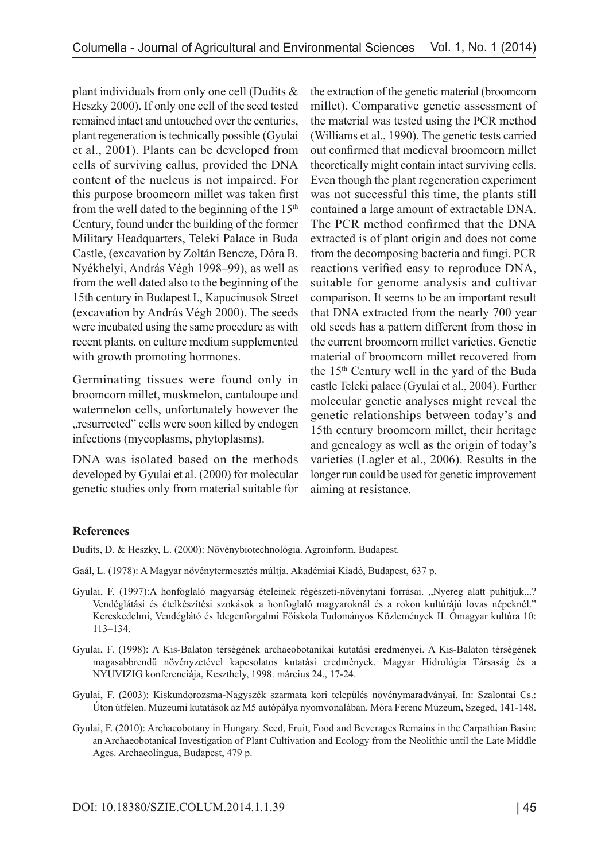plant individuals from only one cell (Dudits & Heszky 2000). If only one cell of the seed tested remained intact and untouched over the centuries, plant regeneration is technically possible (Gyulai et al., 2001). Plants can be developed from cells of surviving callus, provided the DNA content of the nucleus is not impaired. For this purpose broomcorn millet was taken first from the well dated to the beginning of the  $15<sup>th</sup>$ Century, found under the building of the former Military Headquarters, Teleki Palace in Buda Castle, (excavation by Zoltán Bencze, Dóra B. Nyékhelyi, András Végh 1998–99), as well as from the well dated also to the beginning of the 15th century in Budapest I., Kapucinusok Street (excavation by András Végh 2000). The seeds were incubated using the same procedure as with recent plants, on culture medium supplemented with growth promoting hormones.

Germinating tissues were found only in broomcorn millet, muskmelon, cantaloupe and watermelon cells, unfortunately however the "resurrected" cells were soon killed by endogen infections (mycoplasms, phytoplasms).

DNA was isolated based on the methods developed by Gyulai et al. (2000) for molecular genetic studies only from material suitable for the extraction of the genetic material (broomcorn millet). Comparative genetic assessment of the material was tested using the PCR method (Williams et al., 1990). The genetic tests carried out confirmed that medieval broomcorn millet theoretically might contain intact surviving cells. Even though the plant regeneration experiment was not successful this time, the plants still contained a large amount of extractable DNA. The PCR method confirmed that the DNA extracted is of plant origin and does not come from the decomposing bacteria and fungi. PCR reactions verified easy to reproduce DNA, suitable for genome analysis and cultivar comparison. It seems to be an important result that DNA extracted from the nearly 700 year old seeds has a pattern different from those in the current broomcorn millet varieties. Genetic material of broomcorn millet recovered from the 15th Century well in the yard of the Buda castle Teleki palace (Gyulai et al., 2004). Further molecular genetic analyses might reveal the genetic relationships between today's and 15th century broomcorn millet, their heritage and genealogy as well as the origin of today's varieties (Lagler et al., 2006). Results in the longer run could be used for genetic improvement aiming at resistance.

### **References**

Dudits, D. & Heszky, L. (2000): Növénybiotechnológia. Agroinform, Budapest.

- Gaál, L. (1978): A Magyar növénytermesztés múltja. Akadémiai Kiadó, Budapest, 637 p.
- Gyulai, F. (1997):A honfoglaló magyarság ételeinek régészeti-növénytani forrásai. "Nyereg alatt puhítjuk...? Vendéglátási és ételkészítési szokások a honfoglaló magyaroknál és a rokon kultúrájú lovas népeknél." Kereskedelmi, Vendéglátó és Idegenforgalmi Főiskola Tudományos Közlemények II. Ómagyar kultúra 10: 113–134.
- Gyulai, F. (1998): A Kis-Balaton térségének archaeobotanikai kutatási eredményei. A Kis-Balaton térségének magasabbrendű növényzetével kapcsolatos kutatási eredmények. Magyar Hidrológia Társaság és a NYUVIZIG konferenciája, Keszthely, 1998. március 24., 17-24.
- Gyulai, F. (2003): Kiskundorozsma-Nagyszék szarmata kori település növénymaradványai. In: Szalontai Cs.: Úton útfélen. Múzeumi kutatások az M5 autópálya nyomvonalában. Móra Ferenc Múzeum, Szeged, 141-148.
- Gyulai, F. (2010): Archaeobotany in Hungary. Seed, Fruit, Food and Beverages Remains in the Carpathian Basin: an Archaeobotanical Investigation of Plant Cultivation and Ecology from the Neolithic until the Late Middle Ages. Archaeolingua, Budapest, 479 p.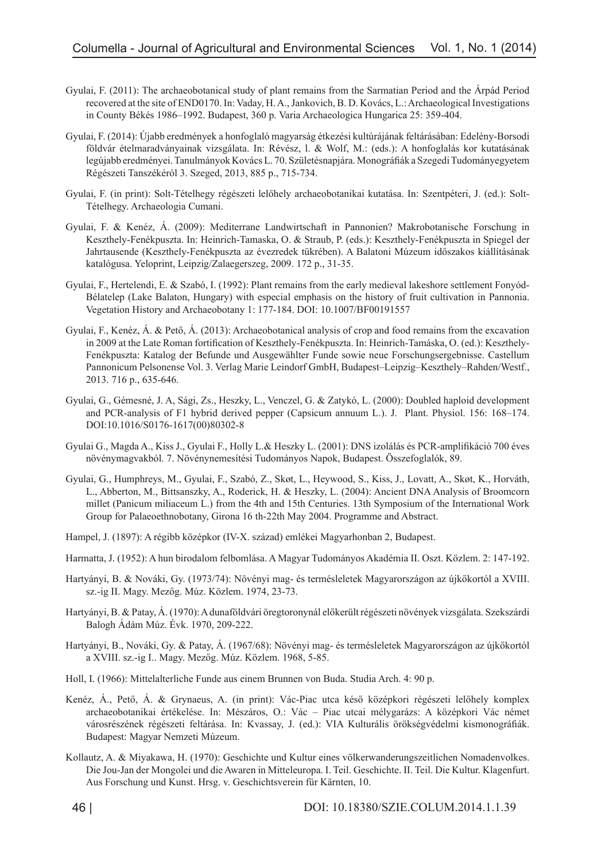- Gyulai, F. (2011): The archaeobotanical study of plant remains from the Sarmatian Period and the Árpád Period recovered at the site of END0170. In: Vaday, H. A., Jankovich, B. D. Kovács, L.: Archaeological Investigations in County Békés 1986–1992. Budapest, 360 p. Varia Archaeologica Hungarica 25: 359-404.
- Gyulai, F. (2014): Újabb eredmények a honfoglaló magyarság étkezési kultúrájának feltárásában: Edelény-Borsodi földvár ételmaradványainak vizsgálata. In: Révész, l. & Wolf, M.: (eds.): A honfoglalás kor kutatásának legújabb eredményei. Tanulmányok Kovács L. 70. Születésnapjára. Monográfiák a Szegedi Tudományegyetem Régészeti Tanszékéról 3. Szeged, 2013, 885 p., 715-734.
- Gyulai, F. (in print): Solt-Tételhegy régészeti lelőhely archaeobotanikai kutatása. In: Szentpéteri, J. (ed.): Solt-Tételhegy. Archaeologia Cumani.
- Gyulai, F. & Kenéz, Á. (2009): Mediterrane Landwirtschaft in Pannonien? Makrobotanische Forschung in Keszthely-Fenékpuszta. In: Heinrich-Tamaska, O. & Straub, P. (eds.): Keszthely-Fenékpuszta in Spiegel der Jahrtausende (Keszthely-Fenékpuszta az évezredek tükrében). A Balatoni Múzeum időszakos kiállításának katalógusa. Yeloprint, Leipzig/Zalaegerszeg, 2009. 172 p., 31-35.
- Gyulai, F., Hertelendi, E. & Szabó, I. (1992): Plant remains from the early medieval lakeshore settlement Fonyód-Bélatelep (Lake Balaton, Hungary) with especial emphasis on the history of fruit cultivation in Pannonia. Vegetation History and Archaeobotany 1: 177-184. DOI: 10.1007/BF00191557
- Gyulai, F., Kenéz, Á. & Pető, Á. (2013): Archaeobotanical analysis of crop and food remains from the excavation in 2009 at the Late Roman fortification of Keszthely-Fenékpuszta. In: Heinrich-Tamáska, O. (ed.): Keszthely-Fenékpuszta: Katalog der Befunde und Ausgewählter Funde sowie neue Forschungsergebnisse. Castellum Pannonicum Pelsonense Vol. 3. Verlag Marie Leindorf GmbH, Budapest–Leipzig–Keszthely–Rahden/Westf., 2013. 716 p., 635-646.
- Gyulai, G., Gémesné, J. A, Sági, Zs., Heszky, L., Venczel, G. & Zatykó, L. (2000): Doubled haploid development and PCR-analysis of F1 hybrid derived pepper (Capsicum annuum L.). J. Plant. Physiol. 156: 168–174. DOI:10.1016/S0176-1617(00)80302-8
- Gyulai G., Magda A., Kiss J., Gyulai F., Holly L.& Heszky L. (2001): DNS izolálás és PCR-amplifikáció 700 éves növénymagvakból. 7. Növénynemesítési Tudományos Napok, Budapest. Összefoglalók, 89.
- Gyulai, G., Humphreys, M., Gyulai, F., Szabó, Z., Skøt, L., Heywood, S., Kiss, J., Lovatt, A., Skøt, K., Horváth, L., Abberton, M., Bittsanszky, A., Roderick, H. & Heszky, L. (2004): Ancient DNA Analysis of Broomcorn millet (Panicum miliaceum L.) from the 4th and 15th Centuries. 13th Symposium of the International Work Group for Palaeoethnobotany, Girona 16 th-22th May 2004. Programme and Abstract.
- Hampel, J. (1897): A régibb középkor (IV-X. század) emlékei Magyarhonban 2, Budapest.
- Harmatta, J. (1952): A hun birodalom felbomlása. A Magyar Tudományos Akadémia II. Oszt. Közlem. 2: 147-192.
- Hartyányi, B. & Nováki, Gy. (1973/74): Növényi mag- és termésleletek Magyarországon az újkőkortól a XVIII. sz.-ig II. Magy. Mezőg. Múz. Közlem. 1974, 23-73.
- Hartyányi, B. & Patay, Á. (1970): A dunaföldvári öregtoronynál előkerült régészeti növények vizsgálata. Szekszárdi Balogh Ádám Múz. Évk. 1970, 209-222.
- Hartyányi, B., Nováki, Gy. & Patay, Á. (1967/68): Növényi mag- és termésleletek Magyarországon az újkőkortól a XVIII. sz.-ig I.. Magy. Mezőg. Múz. Közlem. 1968, 5-85.
- Holl, I. (1966): Mittelalterliche Funde aus einem Brunnen von Buda. Studia Arch. 4: 90 p.
- Kenéz, Á., Pető, Á. & Grynaeus, A. (in print): Vác-Piac utca késő középkori régészeti lelőhely komplex archaeobotanikai értékelése. In: Mészáros, O.: Vác – Piac utcai mélygarázs: A középkori Vác német városrészének régészeti feltárása. In: Kvassay, J. (ed.): VIA Kulturális örökségvédelmi kismonográfiák. Budapest: Magyar Nemzeti Múzeum.
- Kollautz, A. & Miyakawa, H. (1970): Geschichte und Kultur eines völkerwanderungszeitlichen Nomadenvolkes. Die Jou-Jan der Mongolei und die Awaren in Mitteleuropa. I. Teil. Geschichte. II. Teil. Die Kultur. Klagenfurt. Aus Forschung und Kunst. Hrsg. v. Geschichtsverein für Kärnten, 10.